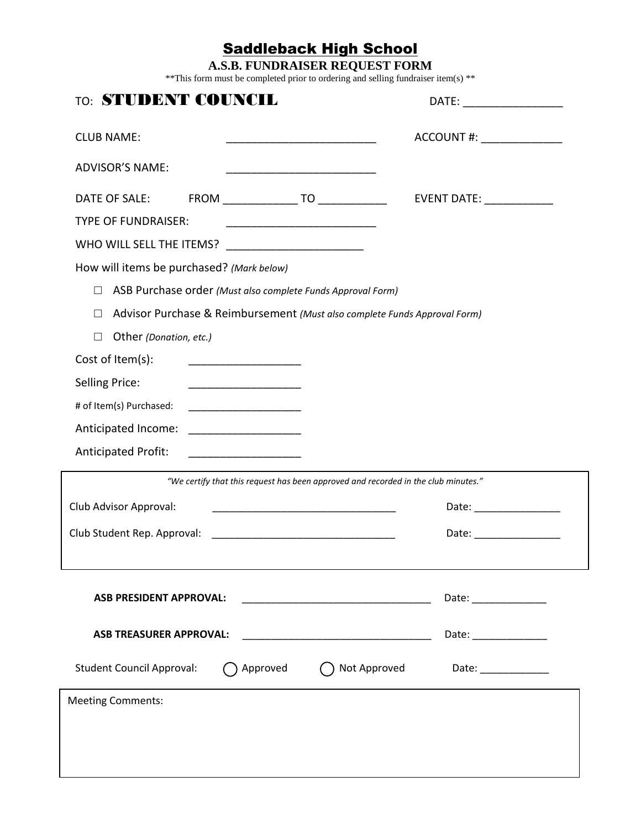## Saddleback High School

**A.S.B. FUNDRAISER REQUEST FORM**

\*\*This form must be completed prior to ordering and selling fundraiser item(s) \*\*

| TO: STUDENT COUNCIL                                                                                                                                    | DATE: ________________________ |
|--------------------------------------------------------------------------------------------------------------------------------------------------------|--------------------------------|
| <b>CLUB NAME:</b><br><u> 1980 - Jan James James Barnett, fransk politik (d. 1980)</u>                                                                  | ACCOUNT #: _______________     |
| <b>ADVISOR'S NAME:</b>                                                                                                                                 |                                |
|                                                                                                                                                        |                                |
| <b>TYPE OF FUNDRAISER:</b><br><u> 1989 - Johann John Stone, markin film yn y brenin y brenin y brenin y brenin y brenin y brenin y brenin y br</u>     |                                |
|                                                                                                                                                        |                                |
| How will items be purchased? (Mark below)                                                                                                              |                                |
| ASB Purchase order (Must also complete Funds Approval Form)<br>$\Box$                                                                                  |                                |
| Advisor Purchase & Reimbursement (Must also complete Funds Approval Form)<br>□                                                                         |                                |
| Other (Donation, etc.)<br>□                                                                                                                            |                                |
| Cost of Item(s):<br><u> 1989 - Johann Barbara, martin amerikan ba</u>                                                                                  |                                |
| <b>Selling Price:</b>                                                                                                                                  |                                |
| # of Item(s) Purchased:                                                                                                                                |                                |
| Anticipated Income:                                                                                                                                    |                                |
| <b>Anticipated Profit:</b>                                                                                                                             |                                |
| "We certify that this request has been approved and recorded in the club minutes."                                                                     |                                |
| Club Advisor Approval:<br><u> 1989 - Johann John Stein, markin fan it ferstjer fan it ferstjer fan it ferstjer fan it ferstjer fan it fers</u>         | Date: Date:                    |
| Club Student Rep. Approval:                                                                                                                            | Date: ________________         |
|                                                                                                                                                        |                                |
| <b>ASB PRESIDENT APPROVAL:</b>                                                                                                                         | Date: ________________         |
| <b>ASB TREASURER APPROVAL:</b><br><u> 1989 - Johann John Stone, markin film yn y brenin y brenin y brenin y brenin y brenin y brenin y brenin y br</u> | Date: _______________          |
| ) Not Approved<br><b>Student Council Approval:</b><br>Approved                                                                                         | Date: _______________          |
| <b>Meeting Comments:</b>                                                                                                                               |                                |
|                                                                                                                                                        |                                |
|                                                                                                                                                        |                                |
|                                                                                                                                                        |                                |